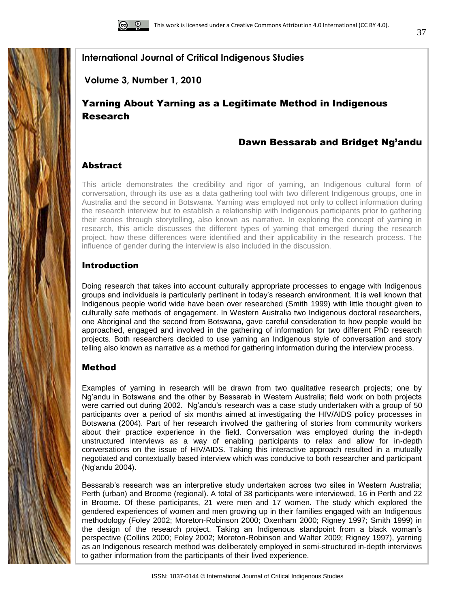

**Volume 3, Number 1, 2010**

# Yarning About Yarning as a Legitimate Method in Indigenous Research

# Dawn Bessarab and Bridget Ng'andu

# **Abstract**

This article demonstrates the credibility and rigor of yarning, an Indigenous cultural form of conversation, through its use as a data gathering tool with two different Indigenous groups, one in Australia and the second in Botswana. Yarning was employed not only to collect information during the research interview but to establish a relationship with Indigenous participants prior to gathering their stories through storytelling, also known as narrative. In exploring the concept of yarning in research, this article discusses the different types of yarning that emerged during the research project, how these differences were identified and their applicability in the research process. The influence of gender during the interview is also included in the discussion.

# Introduction

Doing research that takes into account culturally appropriate processes to engage with Indigenous groups and individuals is particularly pertinent in today"s research environment. It is well known that Indigenous people world wide have been over researched (Smith 1999) with little thought given to culturally safe methods of engagement. In Western Australia two Indigenous doctoral researchers, one Aboriginal and the second from Botswana, gave careful consideration to how people would be approached, engaged and involved in the gathering of information for two different PhD research projects. Both researchers decided to use yarning an Indigenous style of conversation and story telling also known as narrative as a method for gathering information during the interview process.

# Method

Examples of yarning in research will be drawn from two qualitative research projects; one by Ng"andu in Botswana and the other by Bessarab in Western Australia; field work on both projects were carried out during 2002. Ng"andu"s research was a case study undertaken with a group of 50 participants over a period of six months aimed at investigating the HIV/AIDS policy processes in Botswana (2004). Part of her research involved the gathering of stories from community workers about their practice experience in the field. Conversation was employed during the in-depth unstructured interviews as a way of enabling participants to relax and allow for in-depth conversations on the issue of HIV/AIDS. Taking this interactive approach resulted in a mutually negotiated and contextually based interview which was conducive to both researcher and participant (Ng'andu 2004).

Bessarab's research was an interpretive study undertaken across two sites in Western Australia; Perth (urban) and Broome (regional). A total of 38 participants were interviewed, 16 in Perth and 22 in Broome. Of these participants, 21 were men and 17 women. The study which explored the gendered experiences of women and men growing up in their families engaged with an Indigenous methodology (Foley 2002; Moreton-Robinson 2000; Oxenham 2000; Rigney 1997; Smith 1999) in the design of the research project. Taking an Indigenous standpoint from a black woman"s perspective (Collins 2000; Foley 2002; Moreton-Robinson and Walter 2009; Rigney 1997), yarning as an Indigenous research method was deliberately employed in semi-structured in-depth interviews to gather information from the participants of their lived experience.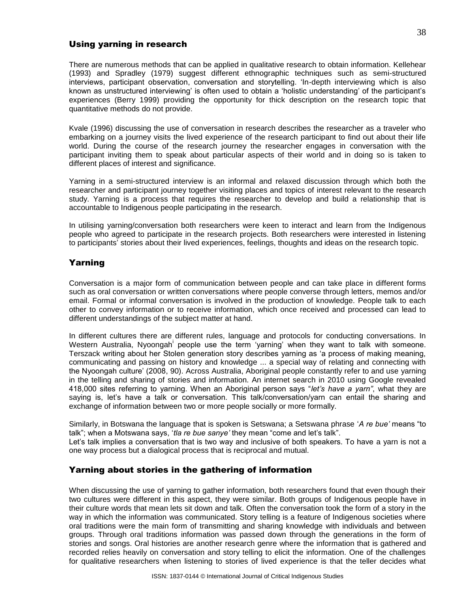# Using yarning in research

There are numerous methods that can be applied in qualitative research to obtain information. Kellehear (1993) and Spradley (1979) suggest different ethnographic techniques such as semi-structured interviews, participant observation, conversation and storytelling. "In-depth interviewing which is also known as unstructured interviewing" is often used to obtain a "holistic understanding" of the participant"s experiences (Berry 1999) providing the opportunity for thick description on the research topic that quantitative methods do not provide.

Kvale (1996) discussing the use of conversation in research describes the researcher as a traveler who embarking on a journey visits the lived experience of the research participant to find out about their life world. During the course of the research journey the researcher engages in conversation with the participant inviting them to speak about particular aspects of their world and in doing so is taken to different places of interest and significance.

Yarning in a semi-structured interview is an informal and relaxed discussion through which both the researcher and participant journey together visiting places and topics of interest relevant to the research study. Yarning is a process that requires the researcher to develop and build a relationship that is accountable to Indigenous people participating in the research.

In utilising yarning/conversation both researchers were keen to interact and learn from the Indigenous people who agreed to participate in the research projects. Both researchers were interested in listening to participants" stories about their lived experiences, feelings, thoughts and ideas on the research topic.

# Yarning

Conversation is a major form of communication between people and can take place in different forms such as oral conversation or written conversations where people converse through letters, memos and/or email. Formal or informal conversation is involved in the production of knowledge. People talk to each other to convey information or to receive information, which once received and processed can lead to different understandings of the subject matter at hand.

In different cultures there are different rules, language and protocols for conducting conversations. In Western Australia, Nyoongah people use the term 'yarning' when they want to talk with someone. Terszack writing about her Stolen generation story describes yarning as "a process of making meaning, communicating and passing on history and knowledge ... a special way of relating and connecting with the Nyoongah culture" (2008, 90). Across Australia, Aboriginal people constantly refer to and use yarning in the telling and sharing of stories and information. An internet search in 2010 using Google revealed 418,000 sites referring to yarning. When an Aboriginal person says "*let"s have a yarn"*, what they are saying is, let's have a talk or conversation. This talk/conversation/yarn can entail the sharing and exchange of information between two or more people socially or more formally.

Similarly, in Botswana the language that is spoken is Setswana; a Setswana phrase "*A re bue"* means "to talk"; when a Motswana says, 'tla re bue sanye' they mean "come and let's talk".

Let's talk implies a conversation that is two way and inclusive of both speakers. To have a yarn is not a one way process but a dialogical process that is reciprocal and mutual.

# Yarning about stories in the gathering of information

When discussing the use of yarning to gather information, both researchers found that even though their two cultures were different in this aspect, they were similar. Both groups of Indigenous people have in their culture words that mean lets sit down and talk. Often the conversation took the form of a story in the way in which the information was communicated. Story telling is a feature of Indigenous societies where oral traditions were the main form of transmitting and sharing knowledge with individuals and between groups. Through oral traditions information was passed down through the generations in the form of stories and songs. Oral histories are another research genre where the information that is gathered and recorded relies heavily on conversation and story telling to elicit the information. One of the challenges for qualitative researchers when listening to stories of lived experience is that the teller decides what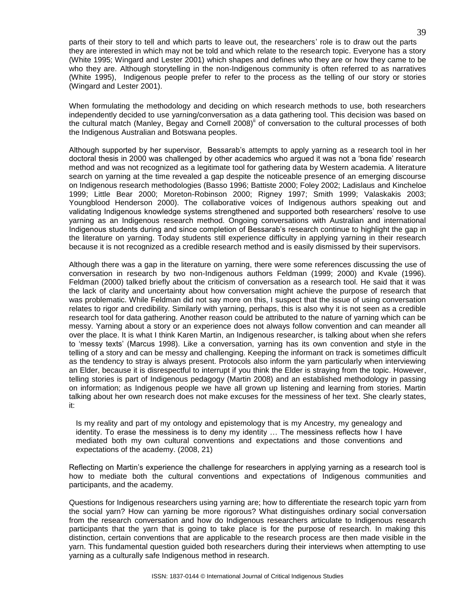parts of their story to tell and which parts to leave out, the researchers" role is to draw out the parts they are interested in which may not be told and which relate to the research topic. Everyone has a story (White 1995; Wingard and Lester 2001) which shapes and defines who they are or how they came to be who they are. Although storytelling in the non-Indigenous community is often referred to as narratives (White 1995), Indigenous people prefer to refer to the process as the telling of our story or stories (Wingard and Lester 2001).

When formulating the methodology and deciding on which research methods to use, both researchers independently decided to use yarning/conversation as a data gathering tool. This decision was based on the cultural match (Manley, Begay and Cornell 2008)" of conversation to the cultural processes of both the Indigenous Australian and Botswana peoples.

Although supported by her supervisor, Bessarab's attempts to apply varning as a research tool in her doctoral thesis in 2000 was challenged by other academics who argued it was not a "bona fide" research method and was not recognized as a legitimate tool for gathering data by Western academia. A literature search on yarning at the time revealed a gap despite the noticeable presence of an emerging discourse on Indigenous research methodologies (Basso 1996; Battiste 2000; Foley 2002; Ladislaus and Kincheloe 1999; Little Bear 2000; Moreton-Robinson 2000; Rigney 1997; Smith 1999; Valaskakis 2003; Youngblood Henderson 2000). The collaborative voices of Indigenous authors speaking out and validating Indigenous knowledge systems strengthened and supported both researchers" resolve to use yarning as an Indigenous research method. Ongoing conversations with Australian and international Indigenous students during and since completion of Bessarab's research continue to highlight the gap in the literature on yarning. Today students still experience difficulty in applying yarning in their research because it is not recognized as a credible research method and is easily dismissed by their supervisors.

Although there was a gap in the literature on yarning, there were some references discussing the use of conversation in research by two non-Indigenous authors Feldman (1999; 2000) and Kvale (1996). Feldman (2000) talked briefly about the criticism of conversation as a research tool. He said that it was the lack of clarity and uncertainty about how conversation might achieve the purpose of research that was problematic. While Feldman did not say more on this, I suspect that the issue of using conversation relates to rigor and credibility. Similarly with yarning, perhaps, this is also why it is not seen as a credible research tool for data gathering. Another reason could be attributed to the nature of yarning which can be messy. Yarning about a story or an experience does not always follow convention and can meander all over the place. It is what I think Karen Martin, an Indigenous researcher, is talking about when she refers to "messy texts" (Marcus 1998). Like a conversation, yarning has its own convention and style in the telling of a story and can be messy and challenging. Keeping the informant on track is sometimes difficult as the tendency to stray is always present. Protocols also inform the yarn particularly when interviewing an Elder, because it is disrespectful to interrupt if you think the Elder is straying from the topic. However, telling stories is part of Indigenous pedagogy (Martin 2008) and an established methodology in passing on information; as Indigenous people we have all grown up listening and learning from stories. Martin talking about her own research does not make excuses for the messiness of her text. She clearly states, it:

Is my reality and part of my ontology and epistemology that is my Ancestry, my genealogy and identity. To erase the messiness is to deny my identity … The messiness reflects how I have mediated both my own cultural conventions and expectations and those conventions and expectations of the academy. (2008, 21)

Reflecting on Martin"s experience the challenge for researchers in applying yarning as a research tool is how to mediate both the cultural conventions and expectations of Indigenous communities and participants, and the academy.

Questions for Indigenous researchers using yarning are; how to differentiate the research topic yarn from the social yarn? How can yarning be more rigorous? What distinguishes ordinary social conversation from the research conversation and how do Indigenous researchers articulate to Indigenous research participants that the yarn that is going to take place is for the purpose of research. In making this distinction, certain conventions that are applicable to the research process are then made visible in the yarn. This fundamental question guided both researchers during their interviews when attempting to use yarning as a culturally safe Indigenous method in research.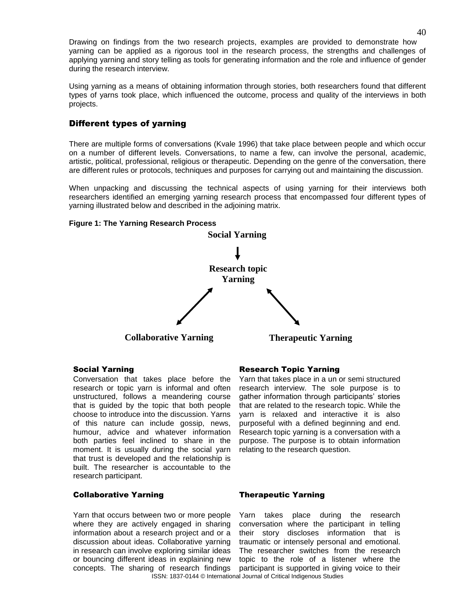Drawing on findings from the two research projects, examples are provided to demonstrate how yarning can be applied as a rigorous tool in the research process, the strengths and challenges of applying yarning and story telling as tools for generating information and the role and influence of gender during the research interview.

Using yarning as a means of obtaining information through stories, both researchers found that different types of yarns took place, which influenced the outcome, process and quality of the interviews in both projects.

# Different types of yarning

There are multiple forms of conversations (Kvale 1996) that take place between people and which occur on a number of different levels. Conversations, to name a few, can involve the personal, academic, artistic, political, professional, religious or therapeutic. Depending on the genre of the conversation, there are different rules or protocols, techniques and purposes for carrying out and maintaining the discussion.

When unpacking and discussing the technical aspects of using yarning for their interviews both researchers identified an emerging yarning research process that encompassed four different types of yarning illustrated below and described in the adjoining matrix.

### **Figure 1: The Yarning Research Process**



Conversation that takes place before the research or topic yarn is informal and often unstructured, follows a meandering course that is guided by the topic that both people choose to introduce into the discussion. Yarns of this nature can include gossip, news, humour, advice and whatever information both parties feel inclined to share in the moment. It is usually during the social yarn that trust is developed and the relationship is built. The researcher is accountable to the research participant.

# Social Yarning **Research Topic Yarning**

Yarn that takes place in a un or semi structured research interview. The sole purpose is to gather information through participants' stories that are related to the research topic. While the yarn is relaxed and interactive it is also purposeful with a defined beginning and end. Research topic yarning is a conversation with a purpose. The purpose is to obtain information relating to the research question.

### Collaborative Yarning Therapeutic Yarning

Yarn that occurs between two or more people where they are actively engaged in sharing information about a research project and or a discussion about ideas. Collaborative yarning in research can involve exploring similar ideas or bouncing different ideas in explaining new concepts. The sharing of research findings

ISSN: 1837-0144 © International Journal of Critical Indigenous Studies Yarn takes place during the research conversation where the participant in telling their story discloses information that is traumatic or intensely personal and emotional. The researcher switches from the research topic to the role of a listener where the participant is supported in giving voice to their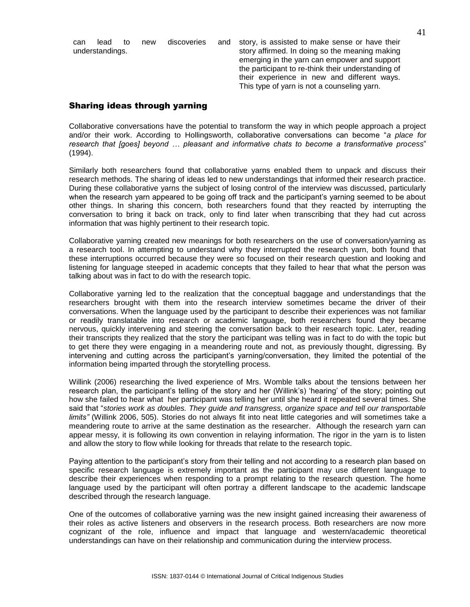can lead to new discoveries and understandings. story, is assisted to make sense or have their story affirmed. In doing so the meaning making emerging in the yarn can empower and support the participant to re-think their understanding of their experience in new and different ways. This type of yarn is not a counseling yarn.

# Sharing ideas through yarning

Collaborative conversations have the potential to transform the way in which people approach a project and/or their work. According to Hollingsworth, collaborative conversations can become "*a place for research that [goes] beyond … pleasant and informative chats to become a transformative process*" (1994).

Similarly both researchers found that collaborative yarns enabled them to unpack and discuss their research methods. The sharing of ideas led to new understandings that informed their research practice. During these collaborative yarns the subject of losing control of the interview was discussed, particularly when the research yarn appeared to be going off track and the participant"s yarning seemed to be about other things. In sharing this concern, both researchers found that they reacted by interrupting the conversation to bring it back on track, only to find later when transcribing that they had cut across information that was highly pertinent to their research topic.

Collaborative yarning created new meanings for both researchers on the use of conversation/yarning as a research tool. In attempting to understand why they interrupted the research yarn, both found that these interruptions occurred because they were so focused on their research question and looking and listening for language steeped in academic concepts that they failed to hear that what the person was talking about was in fact to do with the research topic.

Collaborative yarning led to the realization that the conceptual baggage and understandings that the researchers brought with them into the research interview sometimes became the driver of their conversations. When the language used by the participant to describe their experiences was not familiar or readily translatable into research or academic language, both researchers found they became nervous, quickly intervening and steering the conversation back to their research topic. Later, reading their transcripts they realized that the story the participant was telling was in fact to do with the topic but to get there they were engaging in a meandering route and not, as previously thought, digressing. By intervening and cutting across the participant"s yarning/conversation, they limited the potential of the information being imparted through the storytelling process.

Willink (2006) researching the lived experience of Mrs. Womble talks about the tensions between her research plan, the participant"s telling of the story and her (Willink"s) "hearing" of the story; pointing out how she failed to hear what her participant was telling her until she heard it repeated several times. She said that "*stories work as doubles. They guide and transgress, organize space and tell our transportable limits"* (Willink 2006, 505). Stories do not always fit into neat little categories and will sometimes take a meandering route to arrive at the same destination as the researcher. Although the research yarn can appear messy, it is following its own convention in relaying information. The rigor in the yarn is to listen and allow the story to flow while looking for threads that relate to the research topic.

Paying attention to the participant"s story from their telling and not according to a research plan based on specific research language is extremely important as the participant may use different language to describe their experiences when responding to a prompt relating to the research question. The home language used by the participant will often portray a different landscape to the academic landscape described through the research language.

One of the outcomes of collaborative yarning was the new insight gained increasing their awareness of their roles as active listeners and observers in the research process. Both researchers are now more cognizant of the role, influence and impact that language and western/academic theoretical understandings can have on their relationship and communication during the interview process.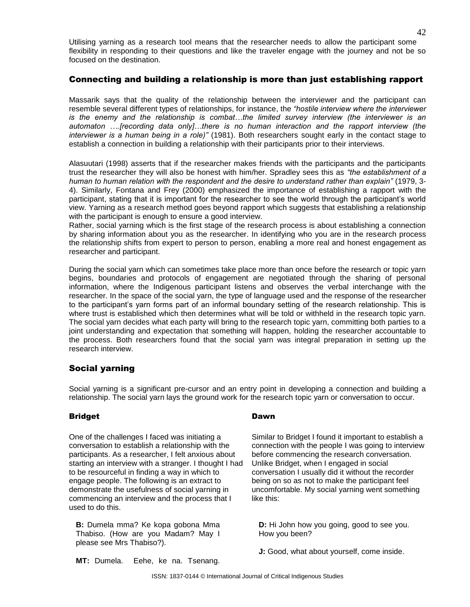Utilising yarning as a research tool means that the researcher needs to allow the participant some flexibility in responding to their questions and like the traveler engage with the journey and not be so focused on the destination.

# Connecting and building a relationship is more than just establishing rapport

Massarik says that the quality of the relationship between the interviewer and the participant can resemble several different types of relationships, for instance, the *"hostile interview where the interviewer is the enemy and the relationship is combat…the limited survey interview (the interviewer is an automaton ….[recording data only]…there is no human interaction and the rapport interview (the interviewer is a human being in a role)"* (1981). Both researchers sought early in the contact stage to establish a connection in building a relationship with their participants prior to their interviews.

Alasuutari (1998) asserts that if the researcher makes friends with the participants and the participants trust the researcher they will also be honest with him/her. Spradley sees this as *"the establishment of a human to human relation with the respondent and the desire to understand rather than explain"* (1979, 3- 4). Similarly, Fontana and Frey (2000) emphasized the importance of establishing a rapport with the participant, stating that it is important for the researcher to see the world through the participant"s world view. Yarning as a research method goes beyond rapport which suggests that establishing a relationship with the participant is enough to ensure a good interview.

Rather, social yarning which is the first stage of the research process is about establishing a connection by sharing information about you as the researcher. In identifying who you are in the research process the relationship shifts from expert to person to person, enabling a more real and honest engagement as researcher and participant.

During the social yarn which can sometimes take place more than once before the research or topic yarn begins, boundaries and protocols of engagement are negotiated through the sharing of personal information, where the Indigenous participant listens and observes the verbal interchange with the researcher. In the space of the social yarn, the type of language used and the response of the researcher to the participant"s yarn forms part of an informal boundary setting of the research relationship. This is where trust is established which then determines what will be told or withheld in the research topic yarn. The social yarn decides what each party will bring to the research topic yarn, committing both parties to a joint understanding and expectation that something will happen, holding the researcher accountable to the process. Both researchers found that the social yarn was integral preparation in setting up the research interview.

# Social yarning

Social yarning is a significant pre-cursor and an entry point in developing a connection and building a relationship. The social yarn lays the ground work for the research topic yarn or conversation to occur.

# Bridget **Dawn**

One of the challenges I faced was initiating a conversation to establish a relationship with the participants. As a researcher, I felt anxious about starting an interview with a stranger. I thought I had to be resourceful in finding a way in which to engage people. The following is an extract to demonstrate the usefulness of social yarning in commencing an interview and the process that I used to do this.

**B:** Dumela mma? Ke kopa gobona Mma Thabiso. (How are you Madam? May I please see Mrs Thabiso?).

Similar to Bridget I found it important to establish a connection with the people I was going to interview before commencing the research conversation. Unlike Bridget, when I engaged in social conversation I usually did it without the recorder being on so as not to make the participant feel uncomfortable. My social yarning went something like this:

**D:** Hi John how you going, good to see you. How you been?

**J:** Good, what about yourself, come inside.

**MT:** Dumela. Eehe, ke na. Tsenang.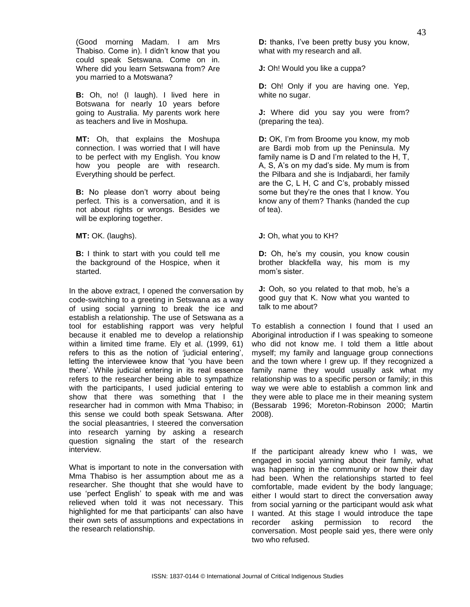(Good morning Madam. I am Mrs Thabiso. Come in). I didn"t know that you could speak Setswana. Come on in. Where did you learn Setswana from? Are you married to a Motswana?

**B:** Oh, no! (I laugh). I lived here in Botswana for nearly 10 years before going to Australia. My parents work here as teachers and live in Moshupa.

**MT:** Oh, that explains the Moshupa connection. I was worried that I will have to be perfect with my English. You know how you people are with research. Everything should be perfect.

**B:** No please don't worry about being perfect. This is a conversation, and it is not about rights or wrongs. Besides we will be exploring together.

**MT:** OK. (laughs).

**B:** I think to start with you could tell me the background of the Hospice, when it started.

In the above extract, I opened the conversation by code-switching to a greeting in Setswana as a way of using social yarning to break the ice and establish a relationship. The use of Setswana as a tool for establishing rapport was very helpful because it enabled me to develop a relationship within a limited time frame. Ely et al. (1999, 61) refers to this as the notion of "judicial entering", letting the interviewee know that "you have been there". While judicial entering in its real essence refers to the researcher being able to sympathize with the participants, I used judicial entering to show that there was something that I the researcher had in common with Mma Thabiso; in this sense we could both speak Setswana. After the social pleasantries, I steered the conversation into research yarning by asking a research question signaling the start of the research interview.

What is important to note in the conversation with Mma Thabiso is her assumption about me as a researcher. She thought that she would have to use "perfect English" to speak with me and was relieved when told it was not necessary. This highlighted for me that participants' can also have their own sets of assumptions and expectations in the research relationship.

**D:** thanks, I've been pretty busy you know, what with my research and all.

**J:** Oh! Would you like a cuppa?

**D:** Oh! Only if you are having one. Yep, white no sugar.

**J:** Where did you say you were from? (preparing the tea).

**D:** OK, I'm from Broome you know, my mob are Bardi mob from up the Peninsula. My family name is D and I'm related to the H, T, A, S, A"s on my dad"s side. My mum is from the Pilbara and she is Indjabardi, her family are the C, L H, C and C"s, probably missed some but they"re the ones that I know. You know any of them? Thanks (handed the cup of tea).

**J:** Oh, what you to KH?

**D:** Oh, he's my cousin, you know cousin brother blackfella way, his mom is my mom"s sister.

**J:** Ooh, so you related to that mob, he's a good guy that K. Now what you wanted to talk to me about?

To establish a connection I found that I used an Aboriginal introduction if I was speaking to someone who did not know me. I told them a little about myself; my family and language group connections and the town where I grew up. If they recognized a family name they would usually ask what my relationship was to a specific person or family; in this way we were able to establish a common link and they were able to place me in their meaning system (Bessarab 1996; Moreton-Robinson 2000; Martin 2008).

If the participant already knew who I was, we engaged in social yarning about their family, what was happening in the community or how their day had been. When the relationships started to feel comfortable, made evident by the body language; either I would start to direct the conversation away from social yarning or the participant would ask what I wanted. At this stage I would introduce the tape recorder asking permission to record the conversation. Most people said yes, there were only two who refused.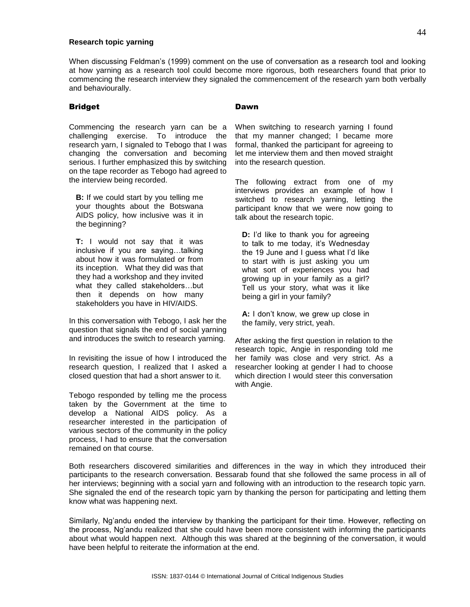#### **Research topic yarning**

When discussing Feldman"s (1999) comment on the use of conversation as a research tool and looking at how yarning as a research tool could become more rigorous, both researchers found that prior to commencing the research interview they signaled the commencement of the research yarn both verbally and behaviourally.

#### Bridget

Commencing the research yarn can be a challenging exercise. To introduce the research yarn, I signaled to Tebogo that I was changing the conversation and becoming serious. I further emphasized this by switching on the tape recorder as Tebogo had agreed to the interview being recorded.

**B:** If we could start by you telling me your thoughts about the Botswana AIDS policy, how inclusive was it in the beginning?

**T:** I would not say that it was inclusive if you are saying…talking about how it was formulated or from its inception. What they did was that they had a workshop and they invited what they called stakeholders…but then it depends on how many stakeholders you have in HIV/AIDS.

In this conversation with Tebogo, I ask her the question that signals the end of social yarning and introduces the switch to research yarning.

In revisiting the issue of how I introduced the research question, I realized that I asked a closed question that had a short answer to it.

Tebogo responded by telling me the process taken by the Government at the time to develop a National AIDS policy. As a researcher interested in the participation of various sectors of the community in the policy process, I had to ensure that the conversation remained on that course.

### Dawn

When switching to research yarning I found that my manner changed; I became more formal, thanked the participant for agreeing to let me interview them and then moved straight into the research question.

The following extract from one of my interviews provides an example of how I switched to research yarning, letting the participant know that we were now going to talk about the research topic.

**D:** I'd like to thank you for agreeing to talk to me today, it's Wednesday the 19 June and I guess what I"d like to start with is just asking you um what sort of experiences you had growing up in your family as a girl? Tell us your story, what was it like being a girl in your family?

**A:** I don"t know, we grew up close in the family, very strict, yeah.

After asking the first question in relation to the research topic, Angie in responding told me her family was close and very strict. As a researcher looking at gender I had to choose which direction I would steer this conversation with Angie.

Both researchers discovered similarities and differences in the way in which they introduced their participants to the research conversation. Bessarab found that she followed the same process in all of her interviews; beginning with a social yarn and following with an introduction to the research topic yarn. She signaled the end of the research topic yarn by thanking the person for participating and letting them know what was happening next.

Similarly, Ng"andu ended the interview by thanking the participant for their time. However, reflecting on the process, Ng"andu realized that she could have been more consistent with informing the participants about what would happen next. Although this was shared at the beginning of the conversation, it would have been helpful to reiterate the information at the end.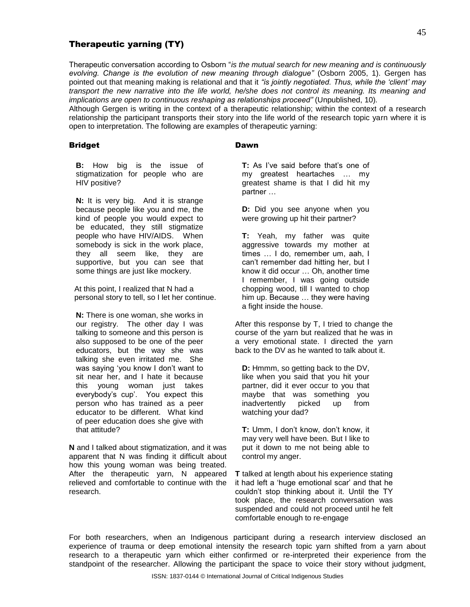# Therapeutic yarning (TY)

Therapeutic conversation according to Osborn "*is the mutual search for new meaning and is continuously evolving. Change is the evolution of new meaning through dialogue"* (Osborn 2005, 1). Gergen has pointed out that meaning making is relational and that it *"is jointly negotiated. Thus, while the "client" may transport the new narrative into the life world, he/she does not control its meaning. Its meaning and implications are open to continuous reshaping as relationships proceed"* (Unpublished, 10)*.* 

Although Gergen is writing in the context of a therapeutic relationship; within the context of a research relationship the participant transports their story into the life world of the research topic yarn where it is open to interpretation. The following are examples of therapeutic yarning:

### Bridget

#### Dawn

**B:** How big is the issue of stigmatization for people who are HIV positive?

**N:** It is very big. And it is strange because people like you and me, the kind of people you would expect to be educated, they still stigmatize people who have HIV/AIDS. When somebody is sick in the work place, they all seem like, they are supportive, but you can see that some things are just like mockery.

At this point, I realized that N had a personal story to tell, so I let her continue.

**N:** There is one woman, she works in our registry. The other day I was talking to someone and this person is also supposed to be one of the peer educators, but the way she was talking she even irritated me. She was saying "you know I don"t want to sit near her, and I hate it because this young woman just takes everybody's cup'. You expect this person who has trained as a peer educator to be different. What kind of peer education does she give with that attitude?

**N** and I talked about stigmatization, and it was apparent that N was finding it difficult about how this young woman was being treated. After the therapeutic yarn, N appeared relieved and comfortable to continue with the research.

**T:** As I've said before that's one of my greatest heartaches … my greatest shame is that I did hit my partner …

**D:** Did you see anyone when you were growing up hit their partner?

**T:** Yeah, my father was quite aggressive towards my mother at times … I do, remember um, aah, I can"t remember dad hitting her, but I know it did occur … Oh, another time I remember, I was going outside chopping wood, till I wanted to chop him up. Because … they were having a fight inside the house.

After this response by T, I tried to change the course of the yarn but realized that he was in a very emotional state. I directed the yarn back to the DV as he wanted to talk about it.

**D:** Hmmm, so getting back to the DV, like when you said that you hit your partner, did it ever occur to you that maybe that was something you inadvertently picked up from watching your dad?

**T:** Umm, I don"t know, don"t know, it may very well have been. But I like to put it down to me not being able to control my anger.

**T** talked at length about his experience stating it had left a "huge emotional scar" and that he couldn"t stop thinking about it. Until the TY took place, the research conversation was suspended and could not proceed until he felt comfortable enough to re-engage

For both researchers, when an Indigenous participant during a research interview disclosed an experience of trauma or deep emotional intensity the research topic yarn shifted from a yarn about research to a therapeutic yarn which either confirmed or re-interpreted their experience from the standpoint of the researcher. Allowing the participant the space to voice their story without judgment,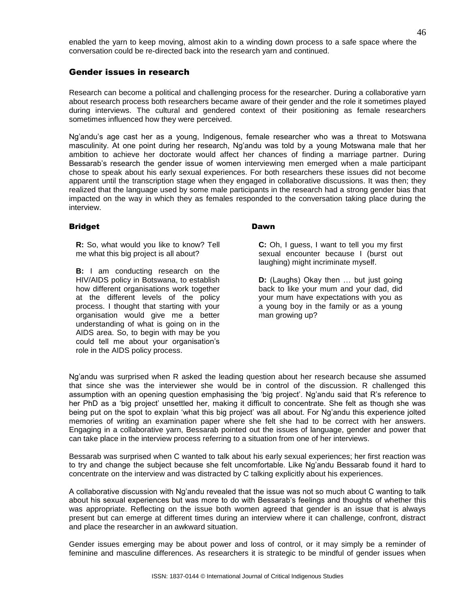enabled the yarn to keep moving, almost akin to a winding down process to a safe space where the conversation could be re-directed back into the research yarn and continued.

### Gender issues in research

Research can become a political and challenging process for the researcher. During a collaborative yarn about research process both researchers became aware of their gender and the role it sometimes played during interviews. The cultural and gendered context of their positioning as female researchers sometimes influenced how they were perceived.

Ng"andu"s age cast her as a young, Indigenous, female researcher who was a threat to Motswana masculinity. At one point during her research, Ng"andu was told by a young Motswana male that her ambition to achieve her doctorate would affect her chances of finding a marriage partner. During Bessarab's research the gender issue of women interviewing men emerged when a male participant chose to speak about his early sexual experiences. For both researchers these issues did not become apparent until the transcription stage when they engaged in collaborative discussions. It was then; they realized that the language used by some male participants in the research had a strong gender bias that impacted on the way in which they as females responded to the conversation taking place during the interview.

#### Bridget

**R:** So, what would you like to know? Tell me what this big project is all about?

**B:** I am conducting research on the HIV/AIDS policy in Botswana, to establish how different organisations work together at the different levels of the policy process. I thought that starting with your organisation would give me a better understanding of what is going on in the AIDS area. So, to begin with may be you could tell me about your organisation"s role in the AIDS policy process.

#### Dawn

**C:** Oh, I guess, I want to tell you my first sexual encounter because I (burst out laughing) might incriminate myself.

**D:** (Laughs) Okay then … but just going back to like your mum and your dad, did your mum have expectations with you as a young boy in the family or as a young man growing up?

Ng"andu was surprised when R asked the leading question about her research because she assumed that since she was the interviewer she would be in control of the discussion. R challenged this assumption with an opening question emphasising the 'big project'. Ng'andu said that R's reference to her PhD as a 'big project' unsettled her, making it difficult to concentrate. She felt as though she was being put on the spot to explain "what this big project" was all about. For Ng"andu this experience jolted memories of writing an examination paper where she felt she had to be correct with her answers. Engaging in a collaborative yarn, Bessarab pointed out the issues of language, gender and power that can take place in the interview process referring to a situation from one of her interviews.

Bessarab was surprised when C wanted to talk about his early sexual experiences; her first reaction was to try and change the subject because she felt uncomfortable. Like Ng"andu Bessarab found it hard to concentrate on the interview and was distracted by C talking explicitly about his experiences.

A collaborative discussion with Ng"andu revealed that the issue was not so much about C wanting to talk about his sexual experiences but was more to do with Bessarab's feelings and thoughts of whether this was appropriate. Reflecting on the issue both women agreed that gender is an issue that is always present but can emerge at different times during an interview where it can challenge, confront, distract and place the researcher in an awkward situation.

Gender issues emerging may be about power and loss of control, or it may simply be a reminder of feminine and masculine differences. As researchers it is strategic to be mindful of gender issues when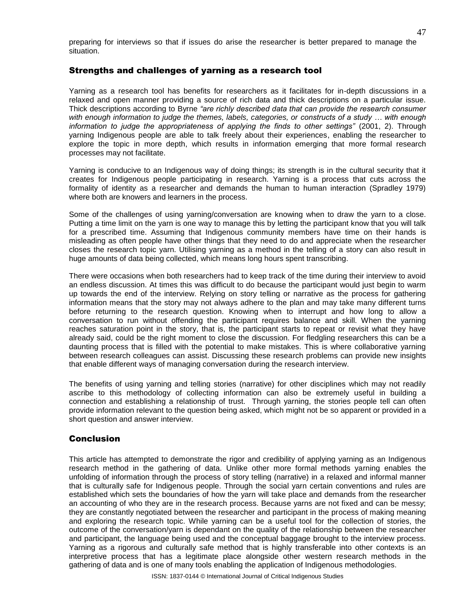preparing for interviews so that if issues do arise the researcher is better prepared to manage the situation.

## Strengths and challenges of yarning as a research tool

Yarning as a research tool has benefits for researchers as it facilitates for in-depth discussions in a relaxed and open manner providing a source of rich data and thick descriptions on a particular issue. Thick descriptions according to Byrne *"are richly described data that can provide the research consumer with enough information to judge the themes, labels, categories, or constructs of a study … with enough information to judge the appropriateness of applying the finds to other settings"* (2001, 2). Through yarning Indigenous people are able to talk freely about their experiences, enabling the researcher to explore the topic in more depth, which results in information emerging that more formal research processes may not facilitate.

Yarning is conducive to an Indigenous way of doing things; its strength is in the cultural security that it creates for Indigenous people participating in research. Yarning is a process that cuts across the formality of identity as a researcher and demands the human to human interaction (Spradley 1979) where both are knowers and learners in the process.

Some of the challenges of using yarning/conversation are knowing when to draw the yarn to a close. Putting a time limit on the yarn is one way to manage this by letting the participant know that you will talk for a prescribed time. Assuming that Indigenous community members have time on their hands is misleading as often people have other things that they need to do and appreciate when the researcher closes the research topic yarn. Utilising yarning as a method in the telling of a story can also result in huge amounts of data being collected, which means long hours spent transcribing.

There were occasions when both researchers had to keep track of the time during their interview to avoid an endless discussion. At times this was difficult to do because the participant would just begin to warm up towards the end of the interview. Relying on story telling or narrative as the process for gathering information means that the story may not always adhere to the plan and may take many different turns before returning to the research question. Knowing when to interrupt and how long to allow a conversation to run without offending the participant requires balance and skill. When the yarning reaches saturation point in the story, that is, the participant starts to repeat or revisit what they have already said, could be the right moment to close the discussion. For fledgling researchers this can be a daunting process that is filled with the potential to make mistakes. This is where collaborative yarning between research colleagues can assist. Discussing these research problems can provide new insights that enable different ways of managing conversation during the research interview.

The benefits of using yarning and telling stories (narrative) for other disciplines which may not readily ascribe to this methodology of collecting information can also be extremely useful in building a connection and establishing a relationship of trust. Through yarning, the stories people tell can often provide information relevant to the question being asked, which might not be so apparent or provided in a short question and answer interview.

# **Conclusion**

This article has attempted to demonstrate the rigor and credibility of applying yarning as an Indigenous research method in the gathering of data. Unlike other more formal methods yarning enables the unfolding of information through the process of story telling (narrative) in a relaxed and informal manner that is culturally safe for Indigenous people. Through the social yarn certain conventions and rules are established which sets the boundaries of how the yarn will take place and demands from the researcher an accounting of who they are in the research process. Because yarns are not fixed and can be messy; they are constantly negotiated between the researcher and participant in the process of making meaning and exploring the research topic. While yarning can be a useful tool for the collection of stories, the outcome of the conversation/yarn is dependant on the quality of the relationship between the researcher and participant, the language being used and the conceptual baggage brought to the interview process. Yarning as a rigorous and culturally safe method that is highly transferable into other contexts is an interpretive process that has a legitimate place alongside other western research methods in the gathering of data and is one of many tools enabling the application of Indigenous methodologies.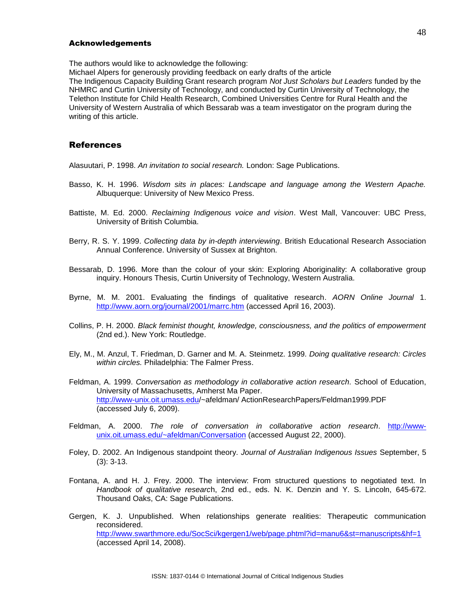#### Acknowledgements

The authors would like to acknowledge the following:

Michael Alpers for generously providing feedback on early drafts of the article

The Indigenous Capacity Building Grant research program *Not Just Scholars but Leaders* funded by the NHMRC and Curtin University of Technology, and conducted by Curtin University of Technology, the Telethon Institute for Child Health Research, Combined Universities Centre for Rural Health and the University of Western Australia of which Bessarab was a team investigator on the program during the writing of this article.

#### References

Alasuutari, P. 1998. *An invitation to social research.* London: Sage Publications.

- Basso, K. H. 1996. *Wisdom sits in places: Landscape and language among the Western Apache.*  Albuquerque: University of New Mexico Press.
- Battiste, M. Ed. 2000. *Reclaiming Indigenous voice and vision*. West Mall, Vancouver: UBC Press, University of British Columbia.
- Berry, R. S. Y. 1999. *Collecting data by in-depth interviewing*. British Educational Research Association Annual Conference. University of Sussex at Brighton.
- Bessarab, D. 1996. More than the colour of your skin: Exploring Aboriginality: A collaborative group inquiry. Honours Thesis, Curtin University of Technology, Western Australia.
- Byrne, M. M. 2001. Evaluating the findings of qualitative research. *AORN Online Journal* 1. <http://www.aorn.org/journal/2001/marrc.htm> (accessed April 16, 2003).
- Collins, P. H. 2000. *Black feminist thought, knowledge, consciousness, and the politics of empowerment*  (2nd ed.). New York: Routledge.
- Ely, M., M. Anzul, T. Friedman, D. Garner and M. A. Steinmetz. 1999. *Doing qualitative research: Circles within circles.* Philadelphia: The Falmer Press.
- Feldman, A. 1999. *Conversation as methodology in collaborative action research.* School of Education, University of Massachusetts, Amherst Ma Paper. <http://www-unix.oit.umass.edu/>~afeldman/ ActionResearchPapers/Feldman1999.PDF (accessed July 6, 2009).
- Feldman, A. 2000. *The role of conversation in collaborative action research*. [http://www](http://www-unix.oit.umass.edu/~afeldman/Conversation)[unix.oit.umass.edu/~afeldman/Conversation](http://www-unix.oit.umass.edu/~afeldman/Conversation) (accessed August 22, 2000).
- Foley, D. 2002. An Indigenous standpoint theory. *Journal of Australian Indigenous Issues* September, 5 (3): 3-13.
- Fontana, A. and H. J. Frey. 2000. The interview: From structured questions to negotiated text. In *Handbook of qualitative researc*h, 2nd ed., eds. N. K. Denzin and Y. S. Lincoln, 645-672. Thousand Oaks, CA: Sage Publications.
- Gergen, K. J. Unpublished. When relationships generate realities: Therapeutic communication reconsidered. <http://www.swarthmore.edu/SocSci/kgergen1/web/page.phtml?id=manu6&st=manuscripts&hf=1> (accessed April 14, 2008).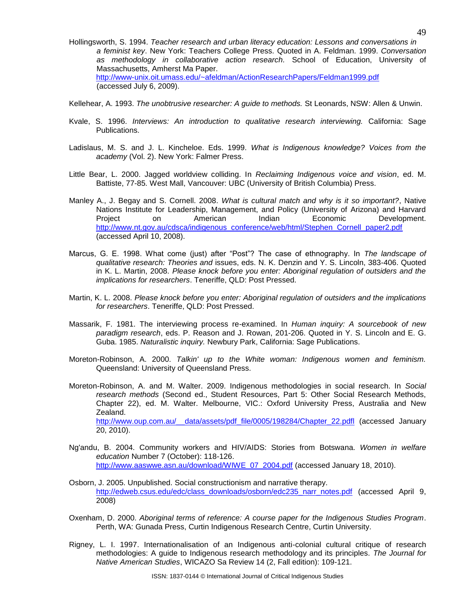- Hollingsworth, S. 1994. *Teacher research and urban literacy education: Lessons and conversations in a feminist key*. New York: Teachers College Press. Quoted in A. Feldman. 1999. *Conversation as methodology in collaborative action research.* School of Education, University of Massachusetts, Amherst Ma Paper. <http://www-unix.oit.umass.edu/~afeldman/ActionResearchPapers/Feldman1999.pdf> (accessed July 6, 2009).
- Kellehear, A. 1993. *The unobtrusive researcher: A guide to methods.* St Leonards, NSW: Allen & Unwin.
- Kvale, S. 1996. *Interviews: An introduction to qualitative research interviewing.* California: Sage Publications.
- Ladislaus, M. S. and J. L. Kincheloe. Eds. 1999. *What is Indigenous knowledge? Voices from the academy* (Vol. 2). New York: Falmer Press.
- Little Bear, L. 2000. Jagged worldview colliding. In *Reclaiming Indigenous voice and vision*, ed. M. Battiste, 77-85*.* West Mall, Vancouver: UBC (University of British Columbia) Press.
- Manley A., J. Begay and S. Cornell. 2008. *What is cultural match and why is it so important?*, Native Nations Institute for Leadership, Management, and Policy (University of Arizona) and Harvard Project on American Indian Economic Development. [http://www.nt.gov.au/cdsca/indigenous\\_conference/web/html/Stephen\\_Cornell\\_paper2.pdf](http://www.nt.gov.au/cdsca/indigenous_conference/web/html/Stephen_Cornell_paper2.pdf) (accessed April 10, 2008).
- Marcus, G. E. 1998. What come (just) after "Post"? The case of ethnography. In *The landscape of qualitative research: Theories and* issues, eds. N. K. Denzin and Y. S. Lincoln, 383-406. Quoted in K. L. Martin, 2008. *Please knock before you enter: Aboriginal regulation of outsiders and the implications for researchers*. Teneriffe, QLD: Post Pressed.
- Martin, K. L. 2008. *Please knock before you enter: Aboriginal regulation of outsiders and the implications for researchers*. Teneriffe, QLD: Post Pressed.
- Massarik, F. 1981. The interviewing process re-examined. In *Human inquiry: A sourcebook of new paradigm research*, eds. P. Reason and J. Rowan, 201-206. Quoted in Y. S. Lincoln and E. G. Guba. 1985. *Naturalistic inquiry.* Newbury Park, California: Sage Publications.
- Moreton-Robinson, A. 2000. *Talkin' up to the White woman: Indigenous women and feminism.* Queensland: University of Queensland Press.
- Moreton-Robinson, A. and M. Walter. 2009. Indigenous methodologies in social research. In *Social research methods* (Second ed., Student Resources, Part 5: Other Social Research Methods, Chapter 22), ed. M. Walter. Melbourne, VIC.: Oxford University Press, Australia and New Zealand. [http://www.oup.com.au/\\_\\_data/assets/pdf\\_file/0005/198284/Chapter\\_22.pdfl](http://www.oup.com.au/__data/assets/pdf_file/0005/198284/Chapter_22.pdfl) (accessed January 20, 2010).
- Ng'andu, B. 2004. Community workers and HIV/AIDS: Stories from Botswana. *Women in welfare education* Number 7 (October): 118-126. [http://www.aaswwe.asn.au/download/WIWE\\_07\\_2004.pdf](http://www.aaswwe.asn.au/download/WIWE_07_2004.pdf) (accessed January 18, 2010).
- Osborn, J. 2005. Unpublished. Social constructionism and narrative therapy. [http://edweb.csus.edu/edc/class\\_downloads/osborn/edc235\\_narr\\_notes.pdf](http://edweb.csus.edu/edc/class_downloads/osborn/edc235_narr_notes.pdf) (accessed April 9, 2008)
- Oxenham, D. 2000. *Aboriginal terms of reference: A course paper for the Indigenous Studies Program*. Perth, WA: Gunada Press, Curtin Indigenous Research Centre, Curtin University.
- Rigney, L. I. 1997. Internationalisation of an Indigenous anti-colonial cultural critique of research methodologies: A guide to Indigenous research methodology and its principles. *The Journal for Native American Studies*, WICAZO Sa Review 14 (2, Fall edition): 109-121.